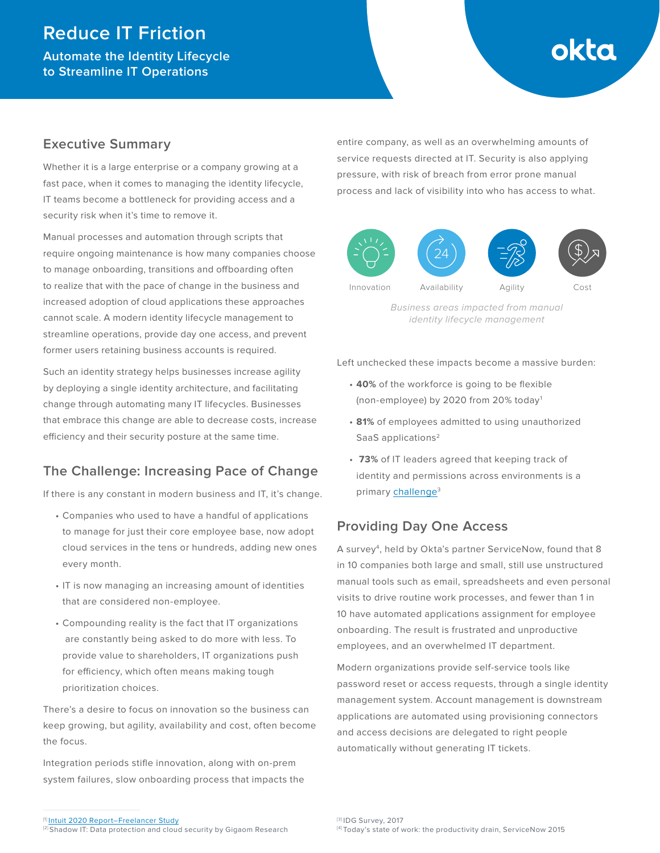# **Reduce IT Friction**

**Automate the Identity Lifecycle to Streamline IT Operations** 

# okta

## **Executive Summary**

Whether it is a large enterprise or a company growing at a fast pace, when it comes to managing the identity lifecycle, IT teams become a bottleneck for providing access and a security risk when it's time to remove it.

Manual processes and automation through scripts that require ongoing maintenance is how many companies choose to manage onboarding, transitions and offboarding often to realize that with the pace of change in the business and increased adoption of cloud applications these approaches cannot scale. A modern identity lifecycle management to streamline operations, provide day one access, and prevent former users retaining business accounts is required.

Such an identity strategy helps businesses increase agility by deploying a single identity architecture, and facilitating change through automating many IT lifecycles. Businesses that embrace this change are able to decrease costs, increase efficiency and their security posture at the same time.

# **The Challenge: Increasing Pace of Change**

If there is any constant in modern business and IT, it's change.

- Companies who used to have a handful of applications to manage for just their core employee base, now adopt cloud services in the tens or hundreds, adding new ones every month.
- IT is now managing an increasing amount of identities that are considered non-employee.
- Compounding reality is the fact that IT organizations are constantly being asked to do more with less. To provide value to shareholders, IT organizations push for efficiency, which often means making tough prioritization choices.

There's a desire to focus on innovation so the business can keep growing, but agility, availability and cost, often become the focus.

Integration periods stifle innovation, along with on-prem system failures, slow onboarding process that impacts the entire company, as well as an overwhelming amounts of service requests directed at IT. Security is also applying pressure, with risk of breach from error prone manual process and lack of visibility into who has access to what.



Business areas impacted from manual identity lifecycle management

Left unchecked these impacts become a massive burden:

- **40%** of the workforce is going to be flexible (non-employee) by 2020 from 20% today1
- **81%** of employees admitted to using unauthorized SaaS applications<sup>2</sup>
- **73%** of IT leaders agreed that keeping track of identity and permissions across environments is a primary challenge<sup>3</sup>

# **Providing Day One Access**

A survey4, held by Okta's partner ServiceNow, found that 8 in 10 companies both large and small, still use unstructured manual tools such as email, spreadsheets and even personal visits to drive routine work processes, and fewer than 1 in 10 have automated applications assignment for employee onboarding. The result is frustrated and unproductive employees, and an overwhelmed IT department.

Modern organizations provide self-service tools like password reset or access requests, through a single identity management system. Account management is downstream applications are automated using provisioning connectors and access decisions are delegated to right people automatically without generating IT tickets.

[2] Shadow IT: Data protection and cloud security by Gigaom Research

<sup>[1]</sup> [Intuit 2020 Report–Freelancer Study](http://http-download.intuit.com/http.intuit/CMO/intuit/futureofsmallbusiness/intuit_2020_report.pdf)

<sup>[3]</sup> IDG Survey, 2017 [4] Today's state of work: the productivity drain, ServiceNow 2015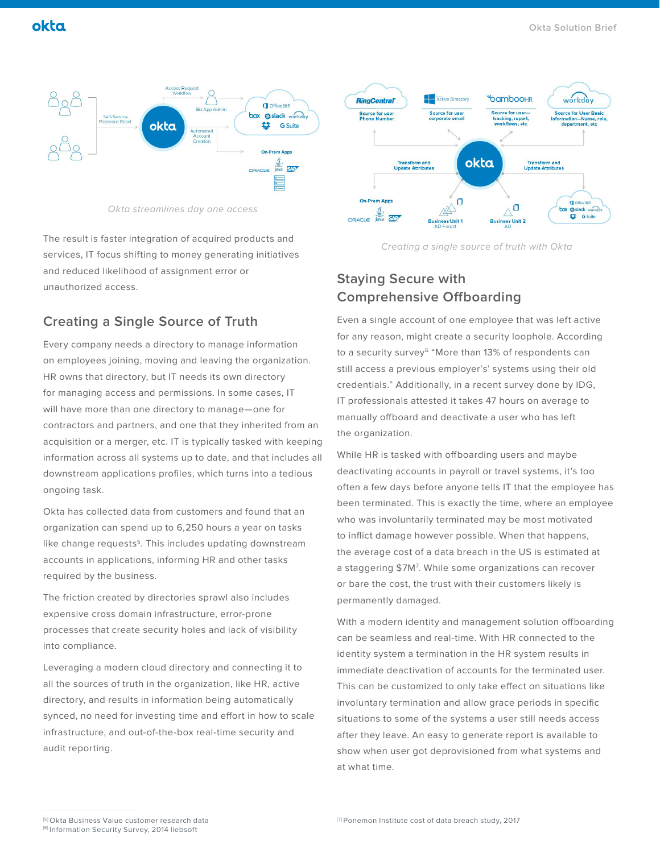

Okta streamlines day one access

The result is faster integration of acquired products and services, IT focus shifting to money generating initiatives and reduced likelihood of assignment error or unauthorized access.

# **Creating a Single Source of Truth**

Every company needs a directory to manage information on employees joining, moving and leaving the organization. HR owns that directory, but IT needs its own directory for managing access and permissions. In some cases, IT will have more than one directory to manage—one for contractors and partners, and one that they inherited from an acquisition or a merger, etc. IT is typically tasked with keeping information across all systems up to date, and that includes all downstream applications profiles, which turns into a tedious ongoing task.

Okta has collected data from customers and found that an organization can spend up to 6,250 hours a year on tasks like change requests<sup>5</sup>. This includes updating downstream accounts in applications, informing HR and other tasks required by the business.

The friction created by directories sprawl also includes expensive cross domain infrastructure, error-prone processes that create security holes and lack of visibility into compliance.

Leveraging a modern cloud directory and connecting it to all the sources of truth in the organization, like HR, active directory, and results in information being automatically synced, no need for investing time and effort in how to scale infrastructure, and out-of-the-box real-time security and audit reporting.



Creating a single source of truth with Okta

# **Staying Secure with Comprehensive Offboarding**

Even a single account of one employee that was left active for any reason, might create a security loophole. According to a security survey<sup>6</sup> "More than 13% of respondents can still access a previous employer's' systems using their old credentials." Additionally, in a recent survey done by IDG, IT professionals attested it takes 47 hours on average to manually offboard and deactivate a user who has left the organization.

While HR is tasked with offboarding users and maybe deactivating accounts in payroll or travel systems, it's too often a few days before anyone tells IT that the employee has been terminated. This is exactly the time, where an employee who was involuntarily terminated may be most motivated to inflict damage however possible. When that happens, the average cost of a data breach in the US is estimated at a staggering \$7M7 . While some organizations can recover or bare the cost, the trust with their customers likely is permanently damaged.

With a modern identity and management solution offboarding can be seamless and real-time. With HR connected to the identity system a termination in the HR system results in immediate deactivation of accounts for the terminated user. This can be customized to only take effect on situations like involuntary termination and allow grace periods in specific situations to some of the systems a user still needs access after they leave. An easy to generate report is available to show when user got deprovisioned from what systems and at what time.

<sup>[5]</sup> Okta Business Value customer research data

<sup>[6]</sup> Information Security Survey, 2014 liebsoft